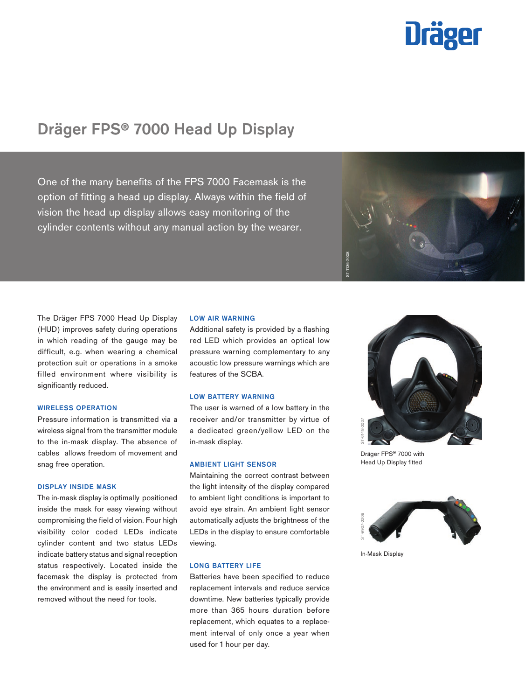# **Dräger**

# Dräger FPS® 7000 Head Up Display

One of the many benefits of the FPS 7000 Facemask is the option of fitting a head up display. Always within the field of vision the head up display allows easy monitoring of the cylinder contents without any manual action by the wearer.

The Dräger FPS 7000 Head Up Display (HUD) improves safety during operations in which reading of the gauge may be difficult, e.g. when wearing a chemical protection suit or operations in a smoke filled environment where visibility is significantly reduced.

# WIRELESS OPERATION

Pressure information is transmitted via a wireless signal from the transmitter module to the in-mask display. The absence of cables allows freedom of movement and snag free operation.

# DISPLAY INSIDE MASK

The in-mask display is optimally positioned inside the mask for easy viewing without compromising the field of vision. Four high visibility color coded LEDs indicate cylinder content and two status LEDs indicate battery status and signal reception status respectively. Located inside the facemask the display is protected from the environment and is easily inserted and removed without the need for tools.

# LOW AIR WARNING

Additional safety is provided by a flashing red LED which provides an optical low pressure warning complementary to any acoustic low pressure warnings which are features of the SCBA.

# LOW BATTERY WARNING

The user is warned of a low battery in the receiver and/or transmitter by virtue of a dedicated green/yellow LED on the in-mask display.

# AMBIENT LIGHT SENSOR

Maintaining the correct contrast between the light intensity of the display compared to ambient light conditions is important to avoid eye strain. An ambient light sensor automatically adjusts the brightness of the LEDs in the display to ensure comfortable viewing.

# LONG BATTERY LIFE

Batteries have been specified to reduce replacement intervals and reduce service downtime. New batteries typically provide more than 365 hours duration before replacement, which equates to a replacement interval of only once a year when used for 1 hour per day.



Dräger FPS® 7000 with Head Up Display fitted

ST-1136-2008



In-Mask Display